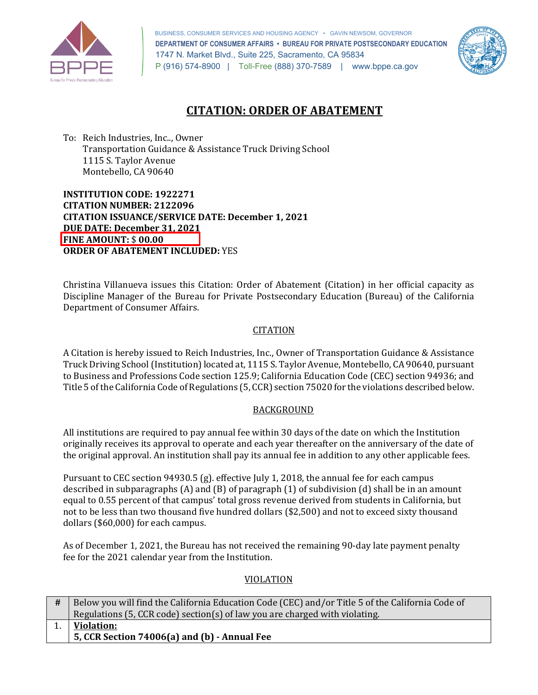

 BUSINESS, CONSUMER SERVICES AND HOUSING AGENCY • GAVIN NEWSOM, GOVERNOR  **DEPARTMENT OF CONSUMER AFFAIRS • BUREAU FOR PRIVATE POSTSECONDARY EDUCATION**  1747 N. Market Blvd., Suite 225, Sacramento, CA 95834 P (916) 574-8900 | Toll-Free (888) 370-7589 | [www.bppe.ca.gov](https://www.bppe.ca.gov/) 



# **CITATION: ORDER OF ABATEMENT**

 To: Reich Industries, Inc.., Owner Transportation Guidance & Assistance Truck Driving School 1115 S. Taylor Avenue Montebello, CA 90640

 **INSTITUTION CODE: 1922271 CITATION ISSUANCE/SERVICE DATE: December 1, 2021 CITATION NUMBER: 2122096 DUE DATE: December 31, 2021 FINE AMOUNT:** \$ **00.00 ORDER OF ABATEMENT INCLUDED:** YES

 Department of Consumer Affairs. Christina Villanueva issues this Citation: Order of Abatement (Citation) in her official capacity as Discipline Manager of the Bureau for Private Postsecondary Education (Bureau) of the California

## **CITATION**

 to Business and Professions Code section 125.9; California Education Code (CEC) section 94936; and Title 5 of the California Code of Regulations (5, CCR) section 75020 for the violations described below. A Citation is hereby issued to Reich Industries, Inc., Owner of Transportation Guidance & Assistance Truck Driving School (Institution) located at, 1115 S. Taylor Avenue, Montebello, CA 90640, pursuant

## BACKGROUND

 All institutions are required to pay annual fee within 30 days of the date on which the Institution originally receives its approval to operate and each year thereafter on the anniversary of the date of the original approval. An institution shall pay its annual fee in addition to any other applicable fees.

 Pursuant to CEC section 94930.5 (g). effective July 1, 2018, the annual fee for each campus described in subparagraphs (A) and (B) of paragraph (1) of subdivision (d) shall be in an amount equal to 0.55 percent of that campus' total gross revenue derived from students in California, but not to be less than two thousand five hundred dollars (\$2,500) and not to exceed sixty thousand dollars (\$60,000) for each campus.

 As of December 1, 2021, the Bureau has not received the remaining 90-day late payment penalty fee for the 2021 calendar year from the Institution.

#### VIOLATION

| Below you will find the California Education Code (CEC) and/or Title 5 of the California Code of |
|--------------------------------------------------------------------------------------------------|
| Regulations (5, CCR code) section(s) of law you are charged with violating.                      |
| <b>Violation:</b>                                                                                |
| 5, CCR Section 74006(a) and (b) - Annual Fee                                                     |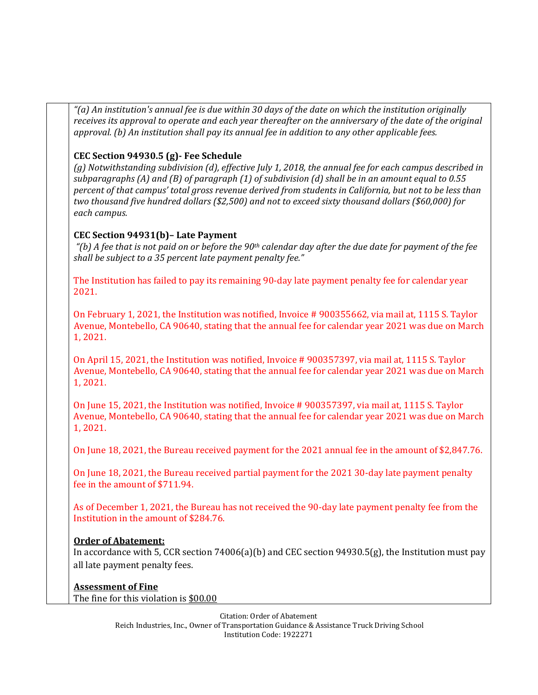*"(a) An institution's annual fee is due within 30 days of the date on which the institution originally receives its approval to operate and each year thereafter on the anniversary of the date of the original approval. (b) An institution shall pay its annual fee in addition to any other applicable fees.* 

#### **CEC Section 94930.5 (g)- Fee Schedule**

 *(g) Notwithstanding subdivision (d), effective July 1, 2018, the annual fee for each campus described in subparagraphs (A) and (B) of paragraph (1) of subdivision (d) shall be in an amount equal to 0.55 percent of that campus' total gross revenue derived from students in California, but not to be less than two thousand five hundred dollars (\$2,500) and not to exceed sixty thousand dollars (\$60,000) for each campus.* 

#### **CEC Section 94931(b)– Late Payment**

 *"(b) A fee that is not paid on or before the 90th calendar day after the due date for payment of the fee shall be subject to a 35 percent late payment penalty fee."* 

 The Institution has failed to pay its remaining 90-day late payment penalty fee for calendar year  $2021.$ 

2021.<br>On February 1, 2021, the Institution was notified, Invoice # 900355662, via mail at, 1115 S. Taylor Avenue, Montebello, CA 90640, stating that the annual fee for calendar year 2021 was due on March 1, 2021.

 On April 15, 2021, the Institution was notified, Invoice # 900357397, via mail at, 1115 S. Taylor Avenue, Montebello, CA 90640, stating that the annual fee for calendar year 2021 was due on March 1, 2021.

 On June 15, 2021, the Institution was notified, Invoice # 900357397, via mail at, 1115 S. Taylor Avenue, Montebello, CA 90640, stating that the annual fee for calendar year 2021 was due on March 1, 2021.

On June 18, 2021, the Bureau received payment for the 2021 annual fee in the amount of [\\$2,847.76](https://2,847.76).

 On June 18, 2021, the Bureau received partial payment for the 2021 30-day late payment penalty fee in the amount of \$711.94.

 As of December 1, 2021, the Bureau has not received the 90-day late payment penalty fee from the Institution in the amount of \$284.76.

## **Order of Abatement:**

 In accordance with 5, CCR section 74006(a)(b) and CEC section 94930.5(g), the Institution must pay all late payment penalty fees.

#### **Assessment of Fine**

The fine for this violation is <u>\$00.00</u>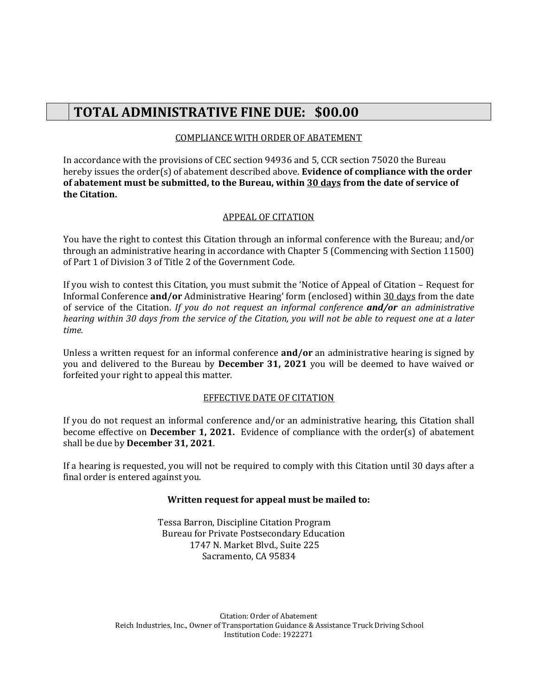# **TOTAL ADMINISTRATIVE FINE DUE: \$00.00**

# COMPLIANCE WITH ORDER OF ABATEMENT

 In accordance with the provisions of CEC section 94936 and 5, CCR section 75020 the Bureau hereby issues the order(s) of abatement described above. **Evidence of compliance with the order of abatement must be submitted, to the Bureau, within 30 days from the date of service of the Citation.** 

# APPEAL OF CITATION

 You have the right to contest this Citation through an informal conference with the Bureau; and/or through an administrative hearing in accordance with Chapter 5 (Commencing with Section 11500) of Part 1 of Division 3 of Title 2 of the Government Code.

 If you wish to contest this Citation, you must submit the 'Notice of Appeal of Citation – Request for  *hearing within 30 days from the service of the Citation, you will not be able to request one at a later*  Informal Conference **and/or** Administrative Hearing' form (enclosed) within 30 days from the date of service of the Citation. *If you do not request an informal conference and/or an administrative time.* 

 Unless a written request for an informal conference **and/or** an administrative hearing is signed by forfeited your right to appeal this matter. you and delivered to the Bureau by **December 31, 2021** you will be deemed to have waived or

#### EFFECTIVE DATE OF CITATION

 become effective on **December 1, 2021.** Evidence of compliance with the order(s) of abatement shall be due by **December 31, 2021**. If you do not request an informal conference and/or an administrative hearing, this Citation shall

 If a hearing is requested, you will not be required to comply with this Citation until 30 days after a final order is entered against you.

#### **Written request for appeal must be mailed to:**

 Tessa Barron, Discipline Citation Program 1747 N. Market Blvd., Suite 225 Bureau for Private Postsecondary Education Sacramento, CA 95834